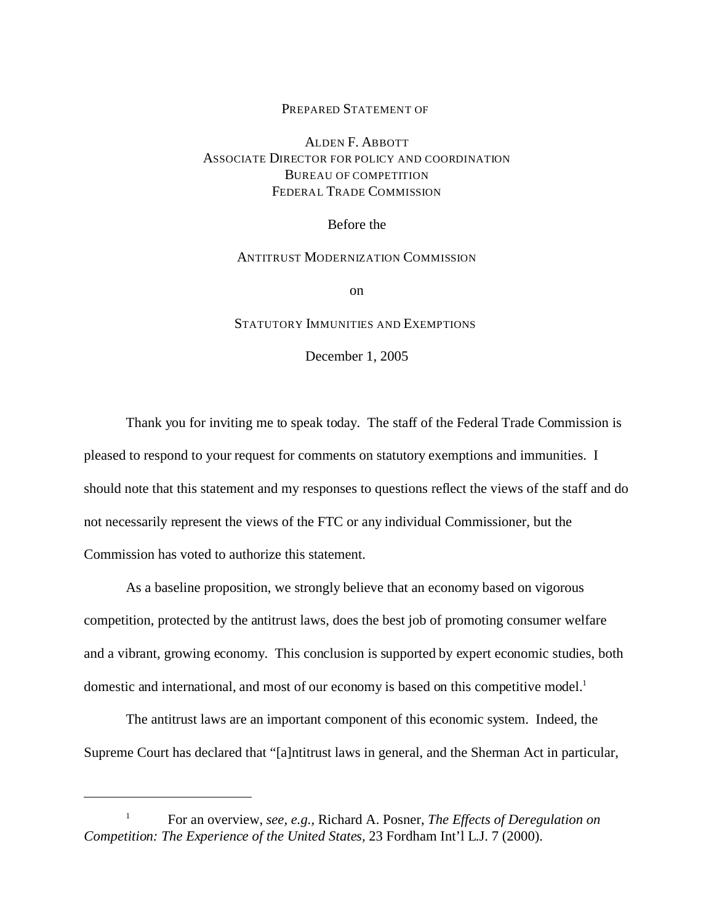## PREPARED STATEMENT OF

## ALDEN F. ABBOTT ASSOCIATE DIRECTOR FOR POLICY AND COORDINATION BUREAU OF COMPETITION FEDERAL TRADE COMMISSION

Before the

## ANTITRUST MODERNIZATION COMMISSION

on

## STATUTORY IMMUNITIES AND EXEMPTIONS

December 1, 2005

Thank you for inviting me to speak today. The staff of the Federal Trade Commission is pleased to respond to your request for comments on statutory exemptions and immunities. I should note that this statement and my responses to questions reflect the views of the staff and do not necessarily represent the views of the FTC or any individual Commissioner, but the Commission has voted to authorize this statement.

As a baseline proposition, we strongly believe that an economy based on vigorous competition, protected by the antitrust laws, does the best job of promoting consumer welfare and a vibrant, growing economy. This conclusion is supported by expert economic studies, both domestic and international, and most of our economy is based on this competitive model.<sup>1</sup>

The antitrust laws are an important component of this economic system. Indeed, the Supreme Court has declared that "[a]ntitrust laws in general, and the Sherman Act in particular,

<sup>1</sup> For an overview, *see, e.g.,* Richard A. Posner, *The Effects of Deregulation on Competition: The Experience of the United States,* 23 Fordham Int'l L.J. 7 (2000).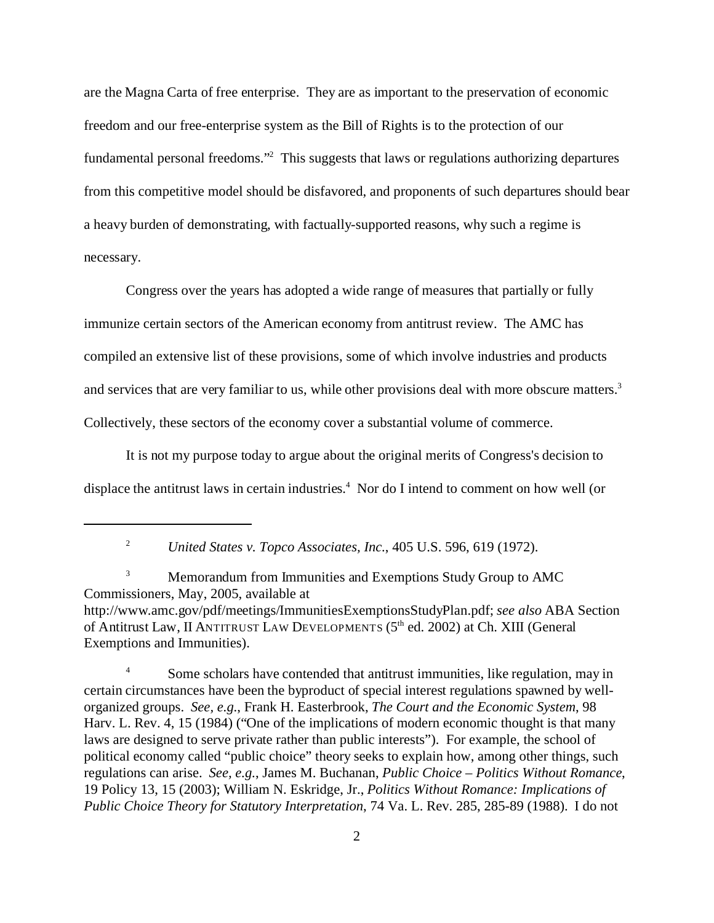are the Magna Carta of free enterprise. They are as important to the preservation of economic freedom and our free-enterprise system as the Bill of Rights is to the protection of our fundamental personal freedoms."<sup>2</sup> This suggests that laws or regulations authorizing departures from this competitive model should be disfavored, and proponents of such departures should bear a heavy burden of demonstrating, with factually-supported reasons, why such a regime is necessary.

Congress over the years has adopted a wide range of measures that partially or fully immunize certain sectors of the American economy from antitrust review. The AMC has compiled an extensive list of these provisions, some of which involve industries and products and services that are very familiar to us, while other provisions deal with more obscure matters.<sup>3</sup> Collectively, these sectors of the economy cover a substantial volume of commerce.

It is not my purpose today to argue about the original merits of Congress's decision to displace the antitrust laws in certain industries.<sup>4</sup> Nor do I intend to comment on how well (or

<sup>3</sup> Memorandum from Immunities and Exemptions Study Group to AMC Commissioners, May, 2005, available at http://www.amc.gov/pdf/meetings/ImmunitiesExemptionsStudyPlan.pdf; *see also* ABA Section of Antitrust Law, II ANTITRUST LAW DEVELOPMENTS (5<sup>th</sup> ed. 2002) at Ch. XIII (General Exemptions and Immunities).

<sup>4</sup> Some scholars have contended that antitrust immunities, like regulation, may in certain circumstances have been the byproduct of special interest regulations spawned by wellorganized groups. *See, e.g.*, Frank H. Easterbrook, *The Court and the Economic System*, 98 Harv. L. Rev. 4, 15 (1984) ("One of the implications of modern economic thought is that many laws are designed to serve private rather than public interests"). For example, the school of political economy called "public choice" theory seeks to explain how, among other things, such regulations can arise. *See, e.g.*, James M. Buchanan, *Public Choice – Politics Without Romance*, 19 Policy 13, 15 (2003); William N. Eskridge, Jr., *Politics Without Romance: Implications of Public Choice Theory for Statutory Interpretation*, 74 Va. L. Rev. 285, 285-89 (1988). I do not

<sup>2</sup>*United States v. Topco Associates, Inc.*, 405 U.S. 596, 619 (1972).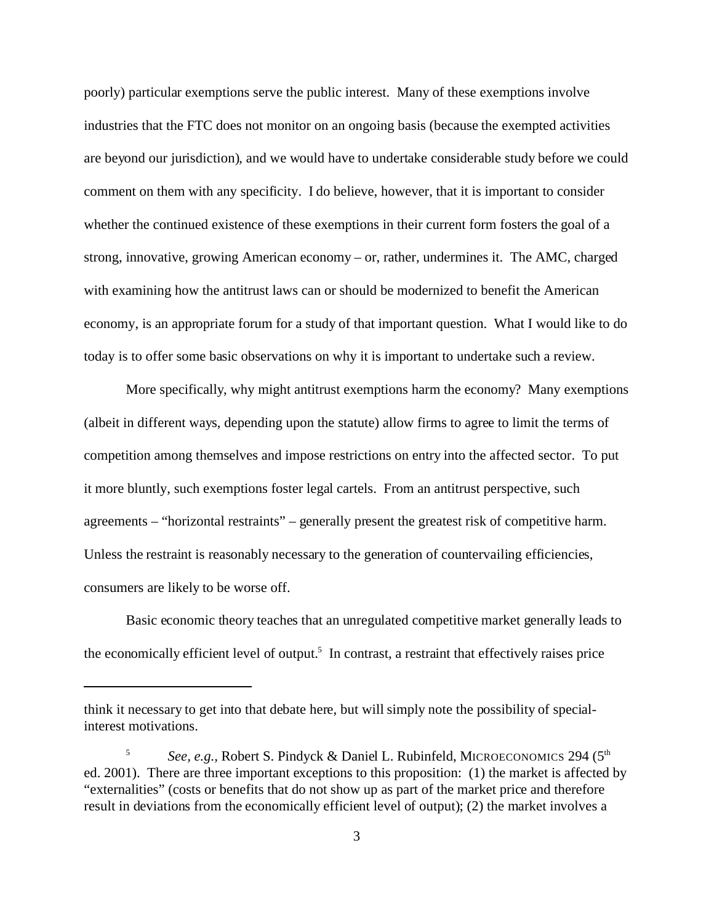poorly) particular exemptions serve the public interest. Many of these exemptions involve industries that the FTC does not monitor on an ongoing basis (because the exempted activities are beyond our jurisdiction), and we would have to undertake considerable study before we could comment on them with any specificity. I do believe, however, that it is important to consider whether the continued existence of these exemptions in their current form fosters the goal of a strong, innovative, growing American economy – or, rather, undermines it. The AMC, charged with examining how the antitrust laws can or should be modernized to benefit the American economy, is an appropriate forum for a study of that important question. What I would like to do today is to offer some basic observations on why it is important to undertake such a review.

More specifically, why might antitrust exemptions harm the economy? Many exemptions (albeit in different ways, depending upon the statute) allow firms to agree to limit the terms of competition among themselves and impose restrictions on entry into the affected sector. To put it more bluntly, such exemptions foster legal cartels. From an antitrust perspective, such agreements – "horizontal restraints" – generally present the greatest risk of competitive harm. Unless the restraint is reasonably necessary to the generation of countervailing efficiencies, consumers are likely to be worse off.

Basic economic theory teaches that an unregulated competitive market generally leads to the economically efficient level of output.<sup>5</sup> In contrast, a restraint that effectively raises price

think it necessary to get into that debate here, but will simply note the possibility of specialinterest motivations.

See, e.g., Robert S. Pindyck & Daniel L. Rubinfeld, MICROECONOMICS 294 (5<sup>th</sup>) ed. 2001). There are three important exceptions to this proposition: (1) the market is affected by "externalities" (costs or benefits that do not show up as part of the market price and therefore result in deviations from the economically efficient level of output); (2) the market involves a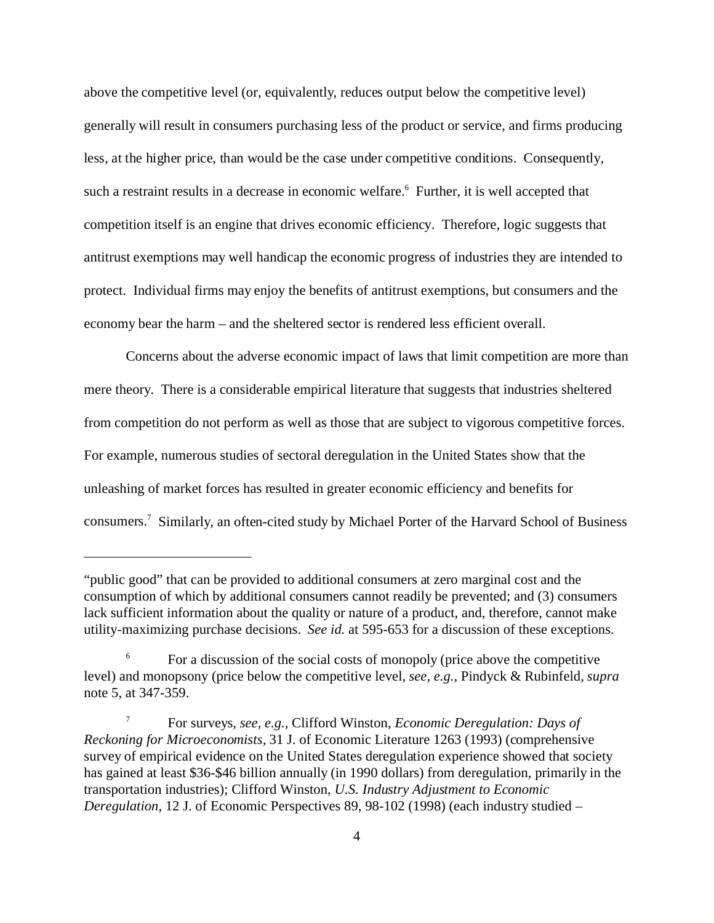above the competitive level (or, equivalently, reduces output below the competitive level) generally will result in consumers purchasing less of the product or service, and firms producing less, at the higher price, than would be the case under competitive conditions. Consequently, such a restraint results in a decrease in economic welfare.<sup>6</sup> Further, it is well accepted that competition itself is an engine that drives economic efficiency. Therefore, logic suggests that antitrust exemptions may well handicap the economic progress of industries they are intended to protect. Individual firms may enjoy the benefits of antitrust exemptions, but consumers and the economy bear the harm – and the sheltered sector is rendered less efficient overall.

Concerns about the adverse economic impact of laws that limit competition are more than mere theory. There is a considerable empirical literature that suggests that industries sheltered from competition do not perform as well as those that are subject to vigorous competitive forces. For example, numerous studies of sectoral deregulation in the United States show that the unleashing of market forces has resulted in greater economic efficiency and benefits for consumers.7 Similarly, an often-cited study by Michael Porter of the Harvard School of Business

<sup>&</sup>quot;public good" that can be provided to additional consumers at zero marginal cost and the consumption of which by additional consumers cannot readily be prevented; and (3) consumers lack sufficient information about the quality or nature of a product, and, therefore, cannot make utility-maximizing purchase decisions. *See id.* at 595-653 for a discussion of these exceptions.

<sup>6</sup> For a discussion of the social costs of monopoly (price above the competitive level) and monopsony (price below the competitive level, *see, e.g.,* Pindyck & Rubinfeld, *supra*  note 5, at 347-359.

<sup>7</sup> For surveys, *see, e.g.,* Clifford Winston, *Economic Deregulation: Days of Reckoning for Microeconomists,* 31 J. of Economic Literature 1263 (1993) (comprehensive survey of empirical evidence on the United States deregulation experience showed that society has gained at least \$36-\$46 billion annually (in 1990 dollars) from deregulation, primarily in the transportation industries); Clifford Winston, *U.S. Industry Adjustment to Economic Deregulation*, 12 J. of Economic Perspectives 89, 98-102 (1998) (each industry studied –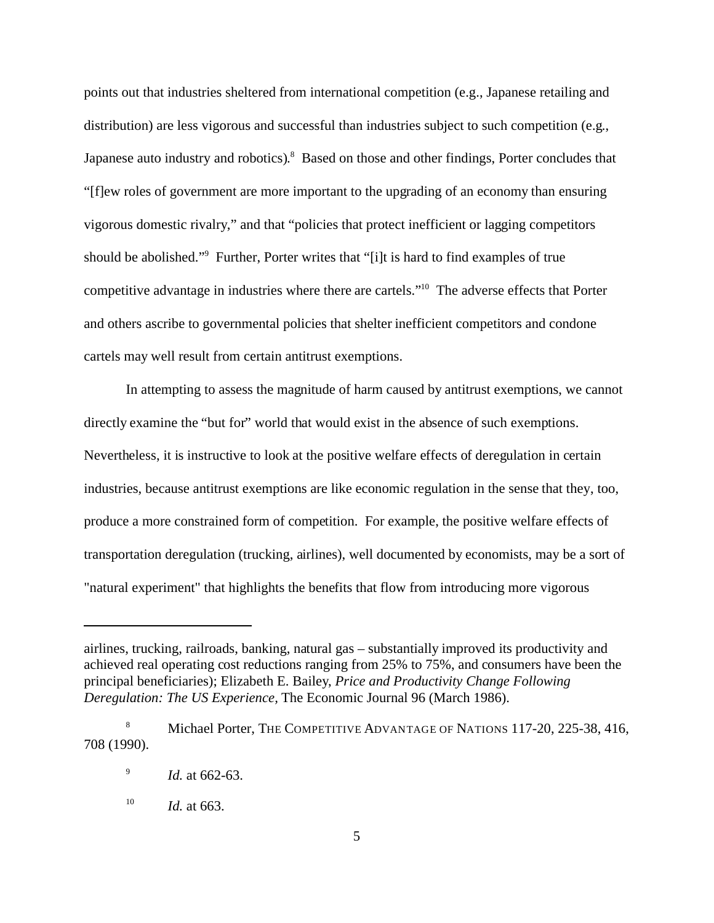points out that industries sheltered from international competition (e.g., Japanese retailing and distribution) are less vigorous and successful than industries subject to such competition (e.g., Japanese auto industry and robotics).<sup>8</sup> Based on those and other findings, Porter concludes that "[f]ew roles of government are more important to the upgrading of an economy than ensuring vigorous domestic rivalry," and that "policies that protect inefficient or lagging competitors should be abolished."9 Further, Porter writes that "[i]t is hard to find examples of true competitive advantage in industries where there are cartels."10 The adverse effects that Porter and others ascribe to governmental policies that shelter inefficient competitors and condone cartels may well result from certain antitrust exemptions.

In attempting to assess the magnitude of harm caused by antitrust exemptions, we cannot directly examine the "but for" world that would exist in the absence of such exemptions. Nevertheless, it is instructive to look at the positive welfare effects of deregulation in certain industries, because antitrust exemptions are like economic regulation in the sense that they, too, produce a more constrained form of competition. For example, the positive welfare effects of transportation deregulation (trucking, airlines), well documented by economists, may be a sort of "natural experiment" that highlights the benefits that flow from introducing more vigorous

airlines, trucking, railroads, banking, natural gas – substantially improved its productivity and achieved real operating cost reductions ranging from 25% to 75%, and consumers have been the principal beneficiaries); Elizabeth E. Bailey, *Price and Productivity Change Following Deregulation: The US Experience,* The Economic Journal 96 (March 1986).

<sup>&</sup>lt;sup>8</sup> Michael Porter, THE COMPETITIVE ADVANTAGE OF NATIONS 117-20, 225-38, 416, 708 (1990).

<sup>9</sup>*Id.* at 662-63.

<sup>&</sup>lt;sup>10</sup> *Id.* at 663.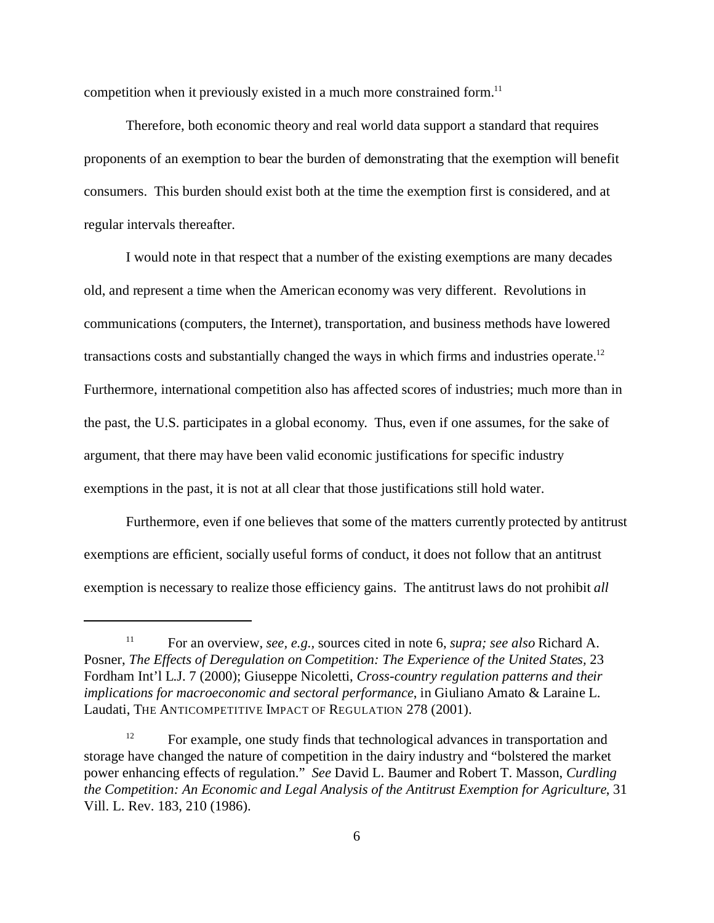competition when it previously existed in a much more constrained form.<sup>11</sup>

Therefore, both economic theory and real world data support a standard that requires proponents of an exemption to bear the burden of demonstrating that the exemption will benefit consumers. This burden should exist both at the time the exemption first is considered, and at regular intervals thereafter.

I would note in that respect that a number of the existing exemptions are many decades old, and represent a time when the American economy was very different. Revolutions in communications (computers, the Internet), transportation, and business methods have lowered transactions costs and substantially changed the ways in which firms and industries operate.<sup>12</sup> Furthermore, international competition also has affected scores of industries; much more than in the past, the U.S. participates in a global economy. Thus, even if one assumes, for the sake of argument, that there may have been valid economic justifications for specific industry exemptions in the past, it is not at all clear that those justifications still hold water.

Furthermore, even if one believes that some of the matters currently protected by antitrust exemptions are efficient, socially useful forms of conduct, it does not follow that an antitrust exemption is necessary to realize those efficiency gains. The antitrust laws do not prohibit *all* 

<sup>11</sup> For an overview, *see, e.g.,* sources cited in note 6, *supra; see also* Richard A. Posner, *The Effects of Deregulation on Competition: The Experience of the United States,* 23 Fordham Int'l L.J. 7 (2000); Giuseppe Nicoletti, *Cross-country regulation patterns and their implications for macroeconomic and sectoral performance*, in Giuliano Amato & Laraine L. Laudati, THE ANTICOMPETITIVE IMPACT OF REGULATION 278 (2001).

<sup>&</sup>lt;sup>12</sup> For example, one study finds that technological advances in transportation and storage have changed the nature of competition in the dairy industry and "bolstered the market power enhancing effects of regulation." *See* David L. Baumer and Robert T. Masson, *Curdling the Competition: An Economic and Legal Analysis of the Antitrust Exemption for Agriculture*, 31 Vill. L. Rev. 183, 210 (1986).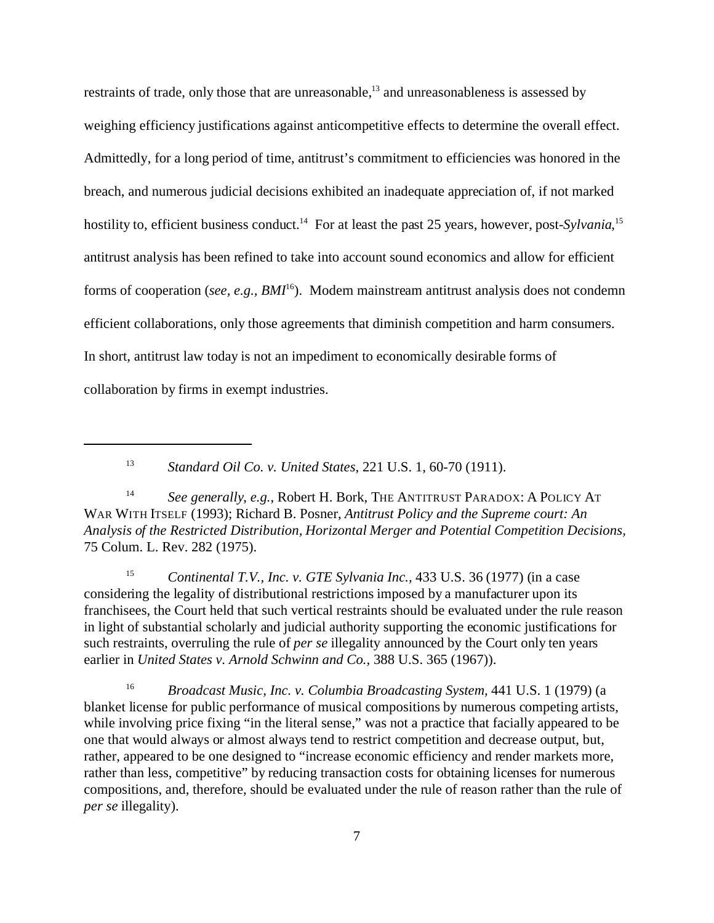restraints of trade, only those that are unreasonable,13 and unreasonableness is assessed by weighing efficiency justifications against anticompetitive effects to determine the overall effect. Admittedly, for a long period of time, antitrust's commitment to efficiencies was honored in the breach, and numerous judicial decisions exhibited an inadequate appreciation of, if not marked hostility to, efficient business conduct.<sup>14</sup> For at least the past 25 years, however, post-*Sylvania*,<sup>15</sup> antitrust analysis has been refined to take into account sound economics and allow for efficient forms of cooperation (*see, e.g., BMI*<sup>16</sup>). Modern mainstream antitrust analysis does not condemn efficient collaborations, only those agreements that diminish competition and harm consumers. In short, antitrust law today is not an impediment to economically desirable forms of collaboration by firms in exempt industries.

<sup>13</sup>*Standard Oil Co. v. United States*, 221 U.S. 1, 60-70 (1911).

<sup>14</sup> See generally, e.g., Robert H. Bork, THE ANTITRUST PARADOX: A POLICY AT WAR WITH ITSELF (1993); Richard B. Posner, *Antitrust Policy and the Supreme court: An Analysis of the Restricted Distribution, Horizontal Merger and Potential Competition Decisions,*  75 Colum. L. Rev. 282 (1975).

<sup>15</sup>*Continental T.V., Inc. v. GTE Sylvania Inc.,* 433 U.S. 36 (1977) (in a case considering the legality of distributional restrictions imposed by a manufacturer upon its franchisees, the Court held that such vertical restraints should be evaluated under the rule reason in light of substantial scholarly and judicial authority supporting the economic justifications for such restraints, overruling the rule of *per se* illegality announced by the Court only ten years earlier in *United States v. Arnold Schwinn and Co.,* 388 U.S. 365 (1967)).

<sup>16</sup>*Broadcast Music, Inc. v. Columbia Broadcasting System,* 441 U.S. 1 (1979) (a blanket license for public performance of musical compositions by numerous competing artists, while involving price fixing "in the literal sense," was not a practice that facially appeared to be one that would always or almost always tend to restrict competition and decrease output, but, rather, appeared to be one designed to "increase economic efficiency and render markets more, rather than less, competitive" by reducing transaction costs for obtaining licenses for numerous compositions, and, therefore, should be evaluated under the rule of reason rather than the rule of *per se* illegality).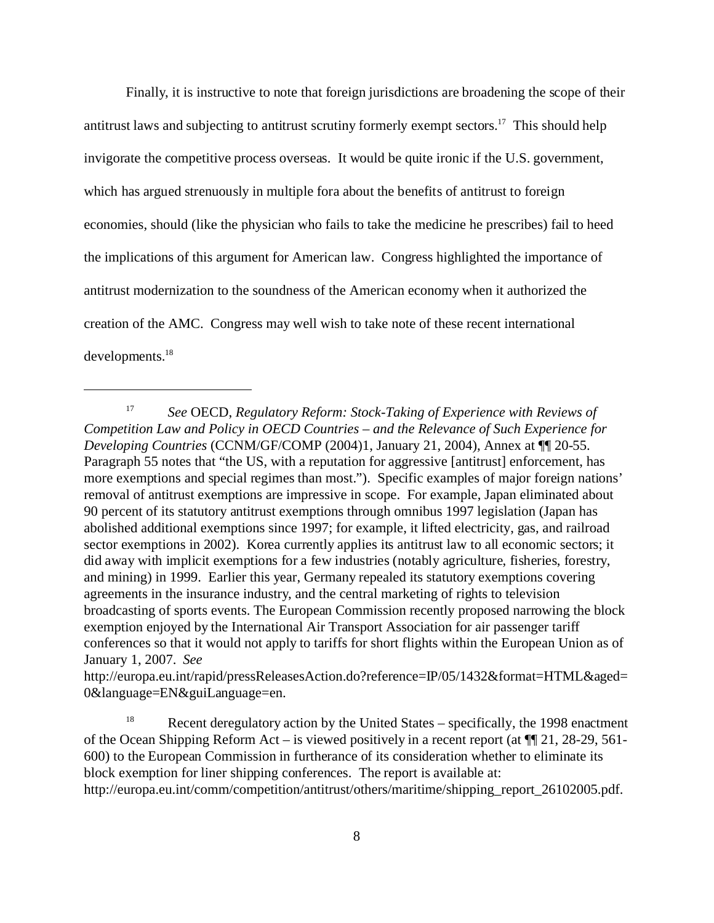Finally, it is instructive to note that foreign jurisdictions are broadening the scope of their antitrust laws and subjecting to antitrust scrutiny formerly exempt sectors.<sup>17</sup> This should help invigorate the competitive process overseas. It would be quite ironic if the U.S. government, which has argued strenuously in multiple fora about the benefits of antitrust to foreign economies, should (like the physician who fails to take the medicine he prescribes) fail to heed the implications of this argument for American law. Congress highlighted the importance of antitrust modernization to the soundness of the American economy when it authorized the creation of the AMC. Congress may well wish to take note of these recent international developments.18

<sup>17</sup>*See* OECD, *Regulatory Reform: Stock-Taking of Experience with Reviews of Competition Law and Policy in OECD Countries – and the Relevance of Such Experience for Developing Countries* (CCNM/GF/COMP (2004)1, January 21, 2004), Annex at ¶¶ 20-55. Paragraph 55 notes that "the US, with a reputation for aggressive [antitrust] enforcement, has more exemptions and special regimes than most."). Specific examples of major foreign nations' removal of antitrust exemptions are impressive in scope. For example, Japan eliminated about 90 percent of its statutory antitrust exemptions through omnibus 1997 legislation (Japan has abolished additional exemptions since 1997; for example, it lifted electricity, gas, and railroad sector exemptions in 2002). Korea currently applies its antitrust law to all economic sectors; it did away with implicit exemptions for a few industries (notably agriculture, fisheries, forestry, and mining) in 1999. Earlier this year, Germany repealed its statutory exemptions covering agreements in the insurance industry, and the central marketing of rights to television broadcasting of sports events. The European Commission recently proposed narrowing the block exemption enjoyed by the International Air Transport Association for air passenger tariff conferences so that it would not apply to tariffs for short flights within the European Union as of January 1, 2007. *See* 

http://europa.eu.int/rapid/pressReleasesAction.do?reference=IP/05/1432&format=HTML&aged= 0&language=EN&guiLanguage=en.

<sup>&</sup>lt;sup>18</sup> Recent deregulatory action by the United States – specifically, the 1998 enactment of the Ocean Shipping Reform Act – is viewed positively in a recent report (at  $\P$ [21, 28-29, 561-600) to the European Commission in furtherance of its consideration whether to eliminate its block exemption for liner shipping conferences. The report is available at: http://europa.eu.int/comm/competition/antitrust/others/maritime/shipping\_report\_26102005.pdf.